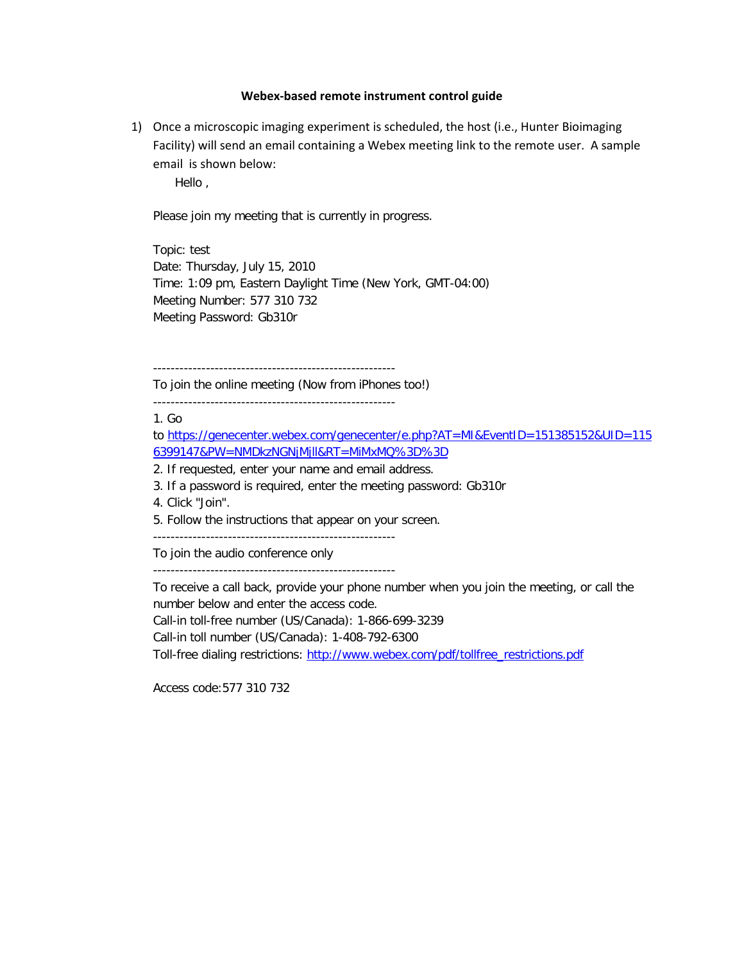## **Webex-based remote instrument control guide**

1) Once a microscopic imaging experiment is scheduled, the host (i.e., Hunter Bioimaging Facility) will send an email containing a Webex meeting link to the remote user. A sample email is shown below:

Hello ,

Please join my meeting that is currently in progress.

Topic: test Date: Thursday, July 15, 2010 Time: 1:09 pm, Eastern Daylight Time (New York, GMT-04:00) Meeting Number: 577 310 732 Meeting Password: Gb310r

-------------------------------------------------------

To join the online meeting (Now from iPhones too!)

-------------------------------------------------------

1. Go

to [https://genecenter.webex.com/genecenter/e.php?AT=MI&EventID=151385152&UID=115](https://genecenter.webex.com/genecenter/e.php?AT=MI&EventID=151385152&UID=1156399147&PW=NMDkzNGNjMjll&RT=MiMxMQ%3D%3D) [6399147&PW=NMDkzNGNjMjll&RT=MiMxMQ%3D%3D](https://genecenter.webex.com/genecenter/e.php?AT=MI&EventID=151385152&UID=1156399147&PW=NMDkzNGNjMjll&RT=MiMxMQ%3D%3D)

2. If requested, enter your name and email address.

3. If a password is required, enter the meeting password: Gb310r

4. Click "Join".

5. Follow the instructions that appear on your screen.

-------------------------------------------------------

To join the audio conference only

-------------------------------------------------------

To receive a call back, provide your phone number when you join the meeting, or call the number below and enter the access code.

Call-in toll-free number (US/Canada): 1-866-699-3239

Call-in toll number (US/Canada): 1-408-792-6300

Toll-free dialing restrictions: [http://www.webex.com/pdf/tollfree\\_restrictions.pdf](http://www.webex.com/pdf/tollfree_restrictions.pdf)

Access code:577 310 732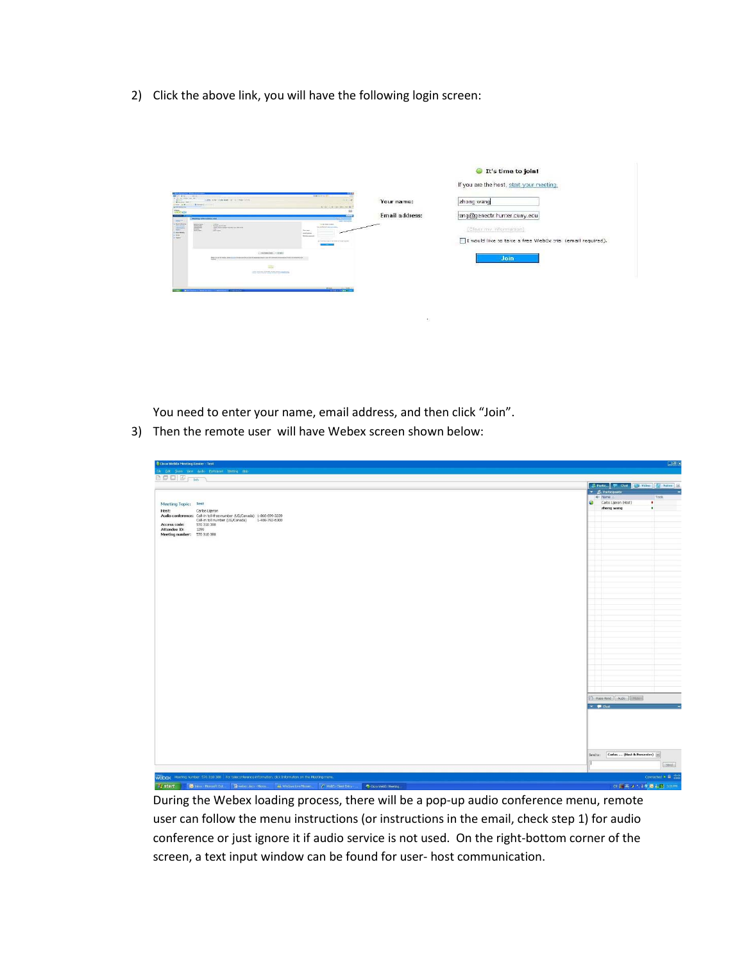2) Click the above link, you will have the following login screen:

|                                                                                                                                                                                                                                                                                                                                                                                                   |                | It's time to join!<br>If you are the host, start your meeting.                      |
|---------------------------------------------------------------------------------------------------------------------------------------------------------------------------------------------------------------------------------------------------------------------------------------------------------------------------------------------------------------------------------------------------|----------------|-------------------------------------------------------------------------------------|
| 001884 0014<br><b>ABOUT NOT</b><br>. All I say that that I do the New Look-<br><br><b>Brancher Gen</b><br>Chemie il<br>Cherry on M<br>Single Committee and the Bar<br><b>Continental</b>                                                                                                                                                                                                          | Your name:     | zhong wang                                                                          |
| Wildfall<br>يست<br><b>Resting Information Seal</b><br><b>SAN FREE</b>                                                                                                                                                                                                                                                                                                                             | Email address: | lang@genectr.hunter.cuny.ecu                                                        |
| <b>TELM</b><br><b>CONTRACTOR</b><br><b>V. Decent of Benefits</b><br>a trime number<br>W<br><b>Communication</b><br><b><i><u>Adoles Mandal</u></i></b><br>Purpose the facts discovered and<br>1-8 pc Kasil: Farray Trucha-No. 244-916-916.<br><b>STATISTICS</b><br>Total Co.<br>中<br>Total Service<br><b>CONTRACTOR</b><br><b>The Company</b><br>Wednesday<br>Contract and be different and burns. |                | (Clear my Information)<br>I would like to take a free WebEx trial (email required). |
| Conference, 114461<br>they are to the first time and in the conference to generalize to the first time and a first time between the basic<br>$\frac{1}{2}$<br>and acceptance with the company's                                                                                                                                                                                                   |                | Join                                                                                |
| <b>From Contract Contract</b><br><b>Contract Contract</b>                                                                                                                                                                                                                                                                                                                                         |                |                                                                                     |

 $\sim 10^{11}$ 

You need to enter your name, email address, and then click "Join".

3) Then the remote user will have Webex screen shown below:

| <b>Cisco WebEx Meeting Center - Test</b>                                                                                | <b>TEK</b>                                       |
|-------------------------------------------------------------------------------------------------------------------------|--------------------------------------------------|
| Ele Edt Shen Yew Audo Estimant Mentris Help                                                                             |                                                  |
| BOODFM)                                                                                                                 |                                                  |
|                                                                                                                         | <b>E. Partic</b> F. Chat. E. Video ( V. Notes E. |
|                                                                                                                         | v M. Participants<br>4º Name 2<br>Tools          |
| Meeting Topic: Test                                                                                                     | Carlos Lijeron (Host)<br>٠                       |
| Host:<br>Carlos Lijeron                                                                                                 | zhong wang<br>٠                                  |
| Audio conference: Call-in toll-free number (US/Canada) 1-866-699-3239<br>Call-in toll number (US/Canada) 1-408-792-6300 |                                                  |
| Access code:<br>570 310 388                                                                                             | -<br>-                                           |
| Attendee ID:<br>1259<br>Meeting number: 570 310 366                                                                     | -1                                               |
|                                                                                                                         | ÷<br>4                                           |
|                                                                                                                         | -                                                |
|                                                                                                                         | 4                                                |
|                                                                                                                         | ÷<br>-                                           |
|                                                                                                                         |                                                  |
|                                                                                                                         | l                                                |
|                                                                                                                         | -                                                |
|                                                                                                                         | -                                                |
|                                                                                                                         |                                                  |
|                                                                                                                         | ŧ                                                |
|                                                                                                                         | -1                                               |
|                                                                                                                         | -                                                |
|                                                                                                                         | ÷<br>÷                                           |
|                                                                                                                         | 4                                                |
|                                                                                                                         | 4                                                |
|                                                                                                                         | -                                                |
|                                                                                                                         | 1                                                |
|                                                                                                                         | ц<br>4                                           |
|                                                                                                                         | -                                                |
|                                                                                                                         | -1                                               |
|                                                                                                                         | 4                                                |
|                                                                                                                         | [1] Reservand   Audo   [ M.Ec. ]                 |
|                                                                                                                         | $\mathbf{v}$ $\blacksquare$ that                 |
|                                                                                                                         |                                                  |
|                                                                                                                         |                                                  |
|                                                                                                                         |                                                  |
|                                                                                                                         |                                                  |
|                                                                                                                         |                                                  |
|                                                                                                                         |                                                  |
|                                                                                                                         | Carlos  (Host & Presenter) =<br>Send to:         |
|                                                                                                                         | $[$ Send $]$                                     |
| WEDEX Meeting number: 570 310 388   For teleconference information, click Information on the Meeting menu.              | Connected . B duty                               |
| <b>I</b> start<br>Diebox Hooselt Out., 2 websc.dock Hors 4 Wedows Live Messen C Webs Clerk Livey<br>Cisco WebEx Meeting | of 國英 J 1. 16 過去型 306PM                          |

During the Webex loading process, there will be a pop-up audio conference menu, remote user can follow the menu instructions (or instructions in the email, check step 1) for audio conference or just ignore it if audio service is not used. On the right-bottom corner of the screen, a text input window can be found for user- host communication.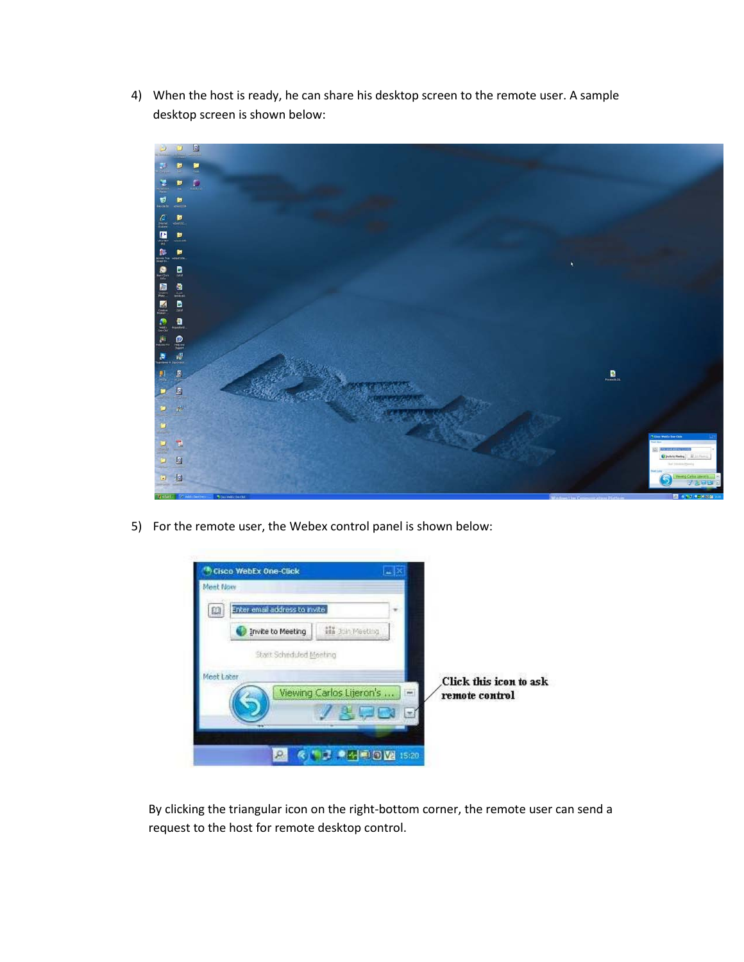4) When the host is ready, he can share his desktop screen to the remote user. A sample desktop screen is shown below:



5) For the remote user, the Webex control panel is shown below:



By clicking the triangular icon on the right-bottom corner, the remote user can send a request to the host for remote desktop control.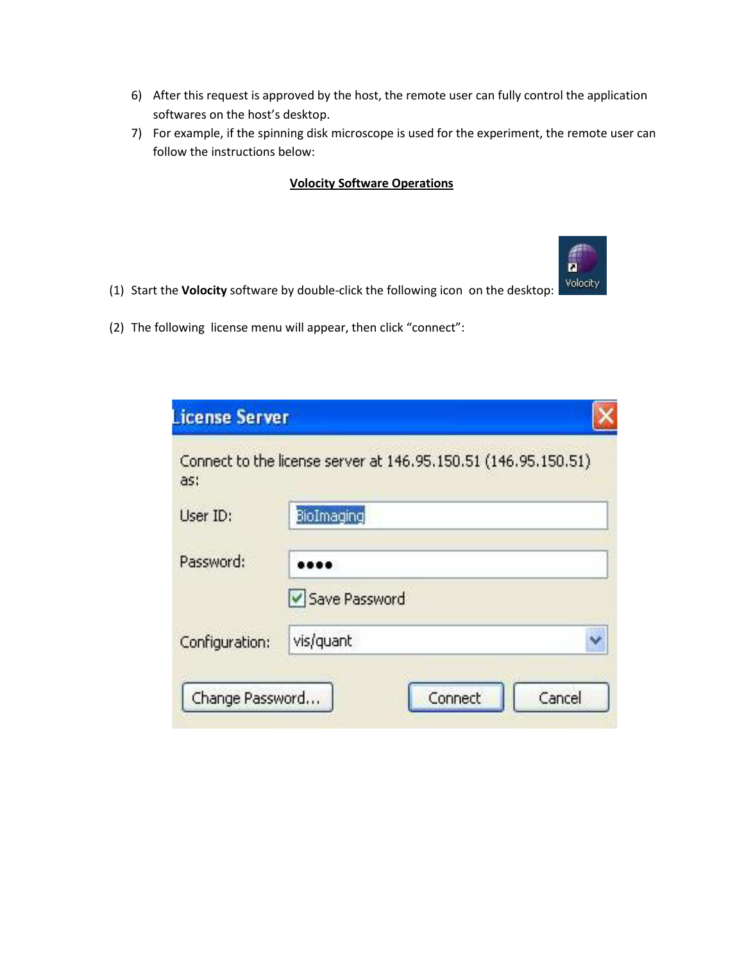- 6) After this request is approved by the host, the remote user can fully control the application softwares on the host's desktop.
- 7) For example, if the spinning disk microscope is used for the experiment, the remote user can follow the instructions below:

n Volocity

## **Volocity Software Operations**

- (1) Start the **Volocity** software by double-click the following icon on the desktop:
- (2) The following license menu will appear, then click "connect":

| License Server  |                                                                |        |
|-----------------|----------------------------------------------------------------|--------|
| as:             | Connect to the license server at 146.95.150.51 (146.95.150.51) |        |
| User ID:        | BioImaging                                                     |        |
| Password:       | Save Password                                                  |        |
| Configuration:  | vis/quant                                                      |        |
| Change Password | Connect                                                        | Cancel |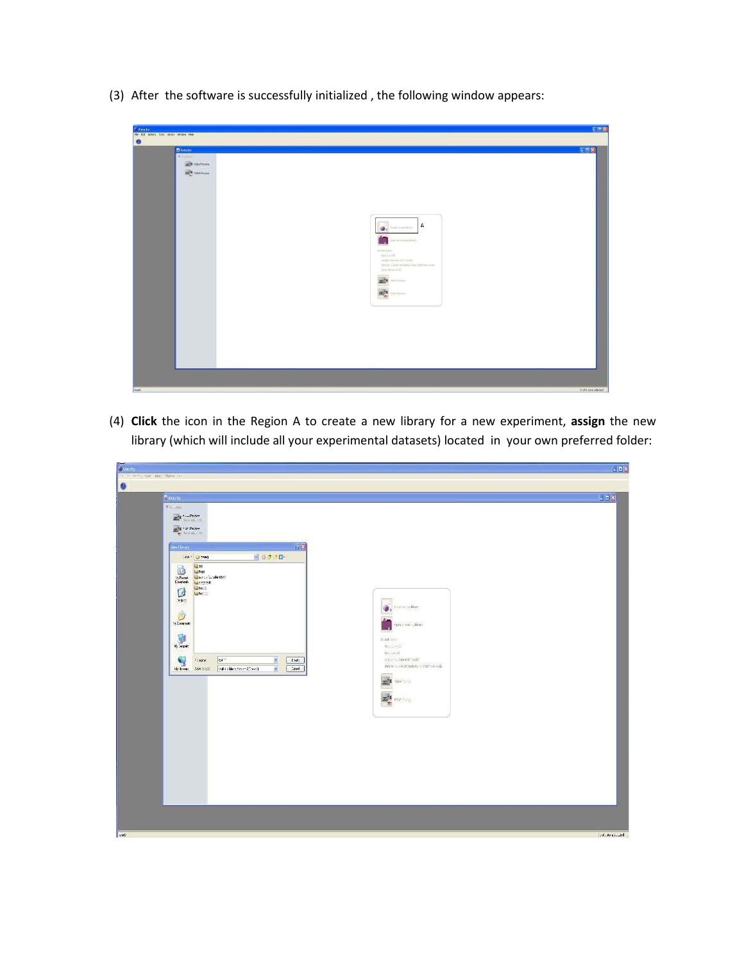(3) After the software is successfully initialized , the following window appears:

| S Volscity                                  |                                                                                                                                                                                                                                                                                                                                     | LOS                  |
|---------------------------------------------|-------------------------------------------------------------------------------------------------------------------------------------------------------------------------------------------------------------------------------------------------------------------------------------------------------------------------------------|----------------------|
| File Edit Actions Tools Library Window Help |                                                                                                                                                                                                                                                                                                                                     |                      |
| $\bullet$                                   | 日回图<br><b>D</b> Velocity<br><b>Fy Million</b><br>m <sup>14</sup> Video Previon<br><b>COLE</b> FRAPPLOIDE<br>  A<br>Onde a predictor.<br>$\oplus$<br>viduomoniais<br>us.<br>Faced keeps<br>tistikaidi.<br>ingle(nml=322.net).<br>the inst (Winistone) complete the<br>lastdenment.<br><b>mile Ma</b><br><b>m</b> <sup>14</sup> means |                      |
|                                             |                                                                                                                                                                                                                                                                                                                                     |                      |
| <b>Rooty</b>                                |                                                                                                                                                                                                                                                                                                                                     | O of 0 form selected |

(4) **Click** the icon in the Region A to create a new library for a new experiment, **assign** the new library (which will include all your experimental datasets) located in your own preferred folder:

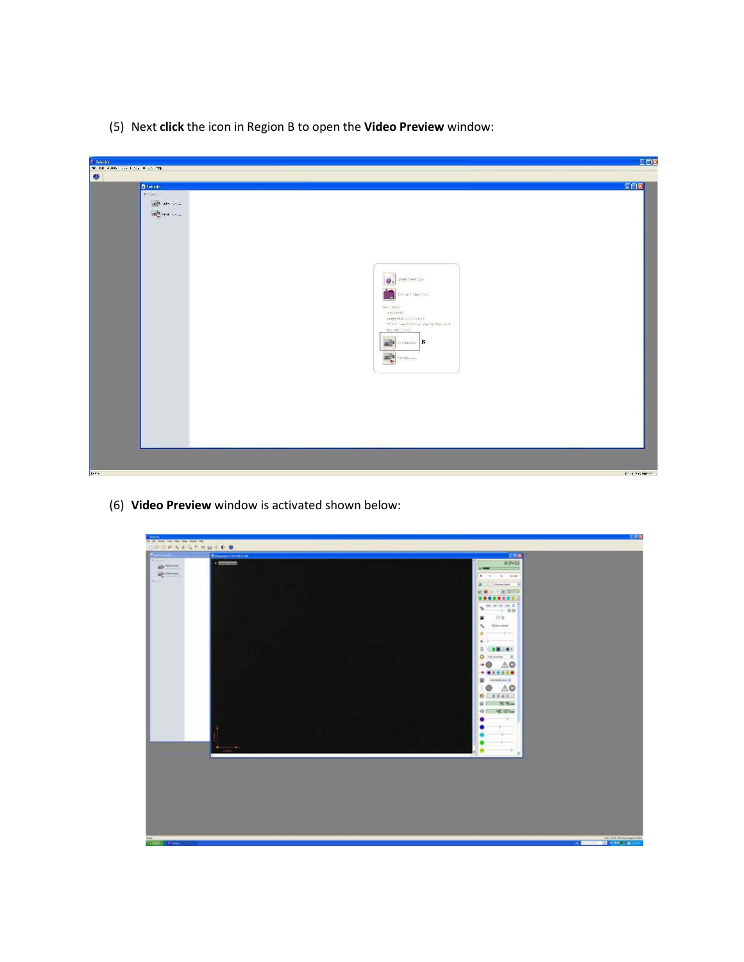(5) Next **click** the icon in Region B to open the **Video Preview** window:

| <b>Sylveny</b>                     | <u> Partik (</u>                                                                                                                                                                                                                                                                                                                            |  |                                                                         | EFIX        |
|------------------------------------|---------------------------------------------------------------------------------------------------------------------------------------------------------------------------------------------------------------------------------------------------------------------------------------------------------------------------------------------|--|-------------------------------------------------------------------------|-------------|
| He talk states and kindy which was |                                                                                                                                                                                                                                                                                                                                             |  |                                                                         |             |
| $\bullet$                          |                                                                                                                                                                                                                                                                                                                                             |  |                                                                         |             |
|                                    | D Volmity                                                                                                                                                                                                                                                                                                                                   |  |                                                                         | <b>ECS</b>  |
|                                    | <b>Water</b>                                                                                                                                                                                                                                                                                                                                |  |                                                                         |             |
|                                    |                                                                                                                                                                                                                                                                                                                                             |  |                                                                         |             |
|                                    | $\begin{aligned} &\frac{\partial \mathbf{u}^{\mathsf{H}}_{\mathbf{v}}}{\partial \mathbf{u}}^{\mathsf{H}}_{\mathbf{v}}(\mathbf{u}^{\mathsf{H}}_{\mathbf{v}}) \sim \mathbb{E} \\ &\frac{\partial \mathbf{u}^{\mathsf{H}}_{\mathbf{v}}}{\partial \mathbf{u}}^{\mathsf{H}}(\mathbf{u}^{\mathsf{H}}_{\mathbf{v}}) \sim \mathbb{E} \end{aligned}$ |  |                                                                         |             |
|                                    |                                                                                                                                                                                                                                                                                                                                             |  |                                                                         |             |
|                                    |                                                                                                                                                                                                                                                                                                                                             |  |                                                                         |             |
|                                    |                                                                                                                                                                                                                                                                                                                                             |  |                                                                         |             |
|                                    |                                                                                                                                                                                                                                                                                                                                             |  |                                                                         |             |
|                                    |                                                                                                                                                                                                                                                                                                                                             |  |                                                                         |             |
|                                    |                                                                                                                                                                                                                                                                                                                                             |  |                                                                         |             |
|                                    |                                                                                                                                                                                                                                                                                                                                             |  | Disable to penal cutting:<br>粵.                                         |             |
|                                    |                                                                                                                                                                                                                                                                                                                                             |  |                                                                         |             |
|                                    |                                                                                                                                                                                                                                                                                                                                             |  | Scanardound Strate<br>$\overline{a}$                                    |             |
|                                    |                                                                                                                                                                                                                                                                                                                                             |  | Sector Annual                                                           |             |
|                                    |                                                                                                                                                                                                                                                                                                                                             |  | mittristr                                                               |             |
|                                    |                                                                                                                                                                                                                                                                                                                                             |  | sample found to Think or (2)<br>ITO IT - Law 2 College who sett handed? |             |
|                                    |                                                                                                                                                                                                                                                                                                                                             |  | ist del volt                                                            |             |
|                                    |                                                                                                                                                                                                                                                                                                                                             |  | $\overline{\text{cm}}$ <sup>4</sup> - School $\overline{\text{B}}$      |             |
|                                    |                                                                                                                                                                                                                                                                                                                                             |  |                                                                         |             |
|                                    |                                                                                                                                                                                                                                                                                                                                             |  | <b>mill</b> suppose                                                     |             |
|                                    |                                                                                                                                                                                                                                                                                                                                             |  |                                                                         |             |
|                                    |                                                                                                                                                                                                                                                                                                                                             |  |                                                                         |             |
|                                    |                                                                                                                                                                                                                                                                                                                                             |  |                                                                         |             |
|                                    |                                                                                                                                                                                                                                                                                                                                             |  |                                                                         |             |
|                                    |                                                                                                                                                                                                                                                                                                                                             |  |                                                                         |             |
|                                    |                                                                                                                                                                                                                                                                                                                                             |  |                                                                         |             |
|                                    |                                                                                                                                                                                                                                                                                                                                             |  |                                                                         |             |
|                                    |                                                                                                                                                                                                                                                                                                                                             |  |                                                                         |             |
|                                    |                                                                                                                                                                                                                                                                                                                                             |  |                                                                         |             |
|                                    |                                                                                                                                                                                                                                                                                                                                             |  |                                                                         |             |
|                                    |                                                                                                                                                                                                                                                                                                                                             |  |                                                                         |             |
|                                    |                                                                                                                                                                                                                                                                                                                                             |  |                                                                         |             |
| Reary                              |                                                                                                                                                                                                                                                                                                                                             |  |                                                                         | and weeken. |

(6) **Video Preview** window is activated shown below:

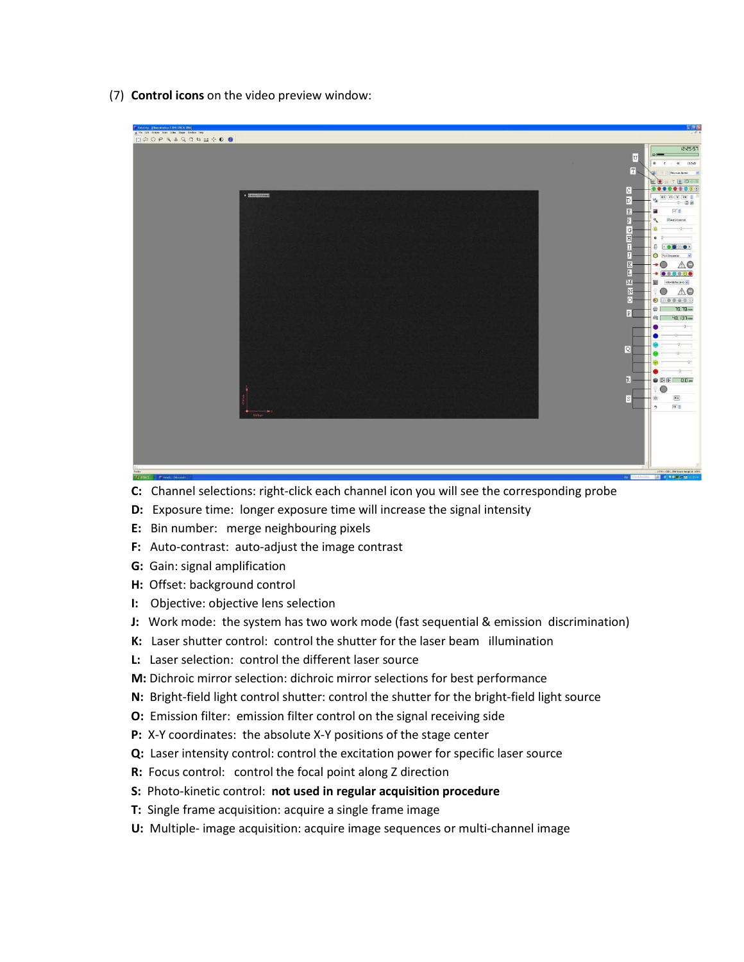(7) **Control icons** on the video preview window:



- **C:** Channel selections: right-click each channel icon you will see the corresponding probe
- **D:** Exposure time: longer exposure time will increase the signal intensity
- **E:** Bin number: merge neighbouring pixels
- **F:** Auto-contrast: auto-adjust the image contrast
- **G:** Gain: signal amplification
- **H:** Offset: background control
- **I:** Objective: objective lens selection
- **J:** Work mode: the system has two work mode (fast sequential & emission discrimination)
- **K:** Laser shutter control: control the shutter for the laser beam illumination
- **L:** Laser selection: control the different laser source
- **M:** Dichroic mirror selection: dichroic mirror selections for best performance
- **N:** Bright-field light control shutter: control the shutter for the bright-field light source
- **O:** Emission filter: emission filter control on the signal receiving side
- **P:** X-Y coordinates: the absolute X-Y positions of the stage center
- **Q:** Laser intensity control: control the excitation power for specific laser source
- **R:** Focus control: control the focal point along Z direction
- **S:** Photo-kinetic control: **not used in regular acquisition procedure**
- **T:** Single frame acquisition: acquire a single frame image
- **U:** Multiple- image acquisition: acquire image sequences or multi-channel image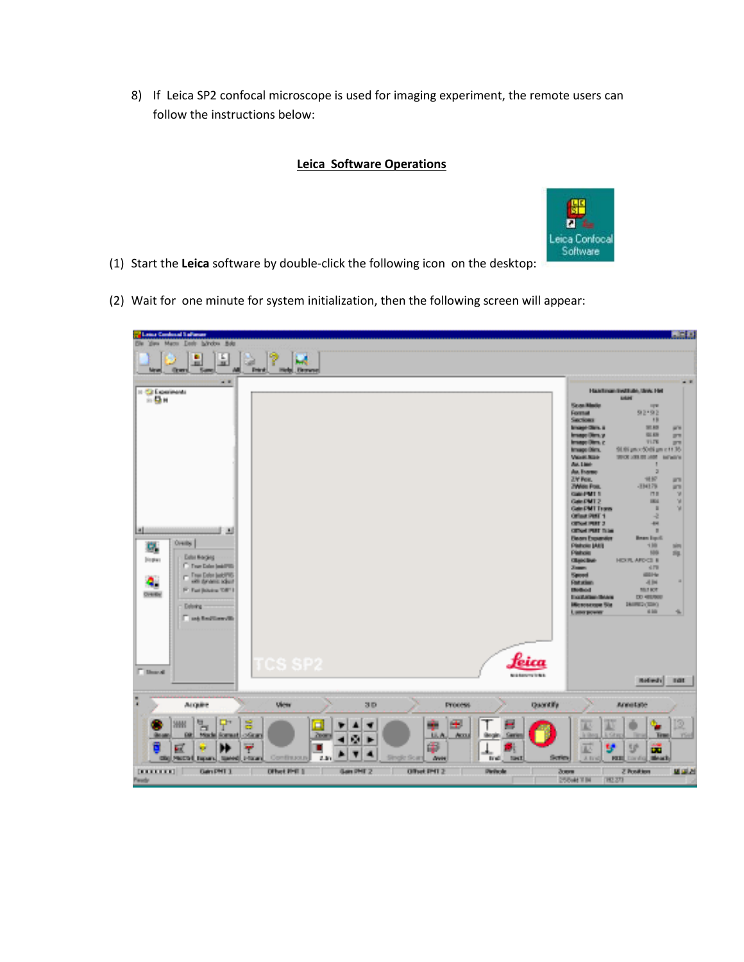8) If Leica SP2 confocal microscope is used for imaging experiment, the remote users can follow the instructions below:

## **Leica Software Operations**



- (1) Start the **Leica** software by double-click the following icon on the desktop:
- (2) Wait for one minute for system initialization, then the following screen will appear: